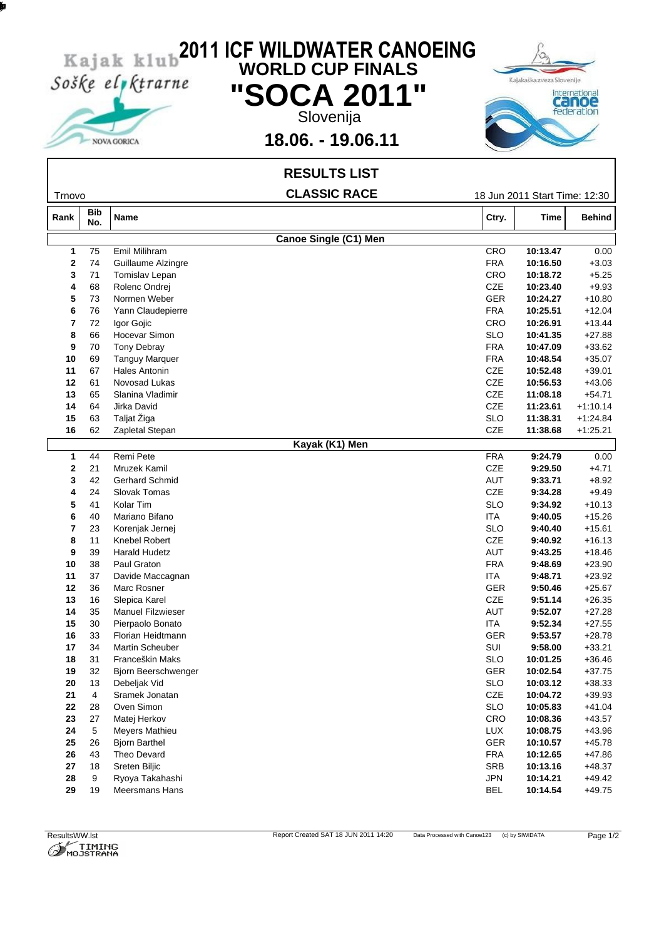

NOVA GORICA

htp:/w.imng-ojstran.com

## **2011 ICF WILDWATER CANOEING WORLD CUP FINALS "SOCA 2011 "** Slovenija



## **18.06. - 19.06.11**

|                  |                   | <b>RESULTS LIST</b>               |                   |                               |                      |
|------------------|-------------------|-----------------------------------|-------------------|-------------------------------|----------------------|
| Trnovo           |                   | <b>CLASSIC RACE</b>               |                   | 18 Jun 2011 Start Time: 12:30 |                      |
| Rank             | <b>Bib</b><br>No. | Name                              | Ctry.             | <b>Time</b>                   | <b>Behind</b>        |
|                  |                   | <b>Canoe Single (C1) Men</b>      |                   |                               |                      |
| 1                | 75                | Emil Milihram                     | CRO               | 10:13.47                      | 0.00                 |
| $\mathbf{2}$     | 74                | Guillaume Alzingre                | <b>FRA</b>        | 10:16.50                      | $+3.03$              |
| 3                | 71                | Tomislav Lepan                    | CRO               | 10:18.72                      | $+5.25$              |
| 4                | 68                | Rolenc Ondrej                     | CZE               | 10:23.40                      | $+9.93$              |
| 5                | 73                | Normen Weber                      | <b>GER</b>        | 10:24.27                      | $+10.80$             |
| 6                | 76                | Yann Claudepierre                 | <b>FRA</b>        | 10:25.51                      | $+12.04$             |
| 7                | 72                | Igor Gojic                        | CRO               | 10:26.91                      | $+13.44$             |
| 8                | 66                | Hocevar Simon                     | <b>SLO</b>        | 10:41.35                      | $+27.88$             |
| 9                | 70                | <b>Tony Debray</b>                | <b>FRA</b>        | 10:47.09                      | $+33.62$             |
| 10               | 69                | <b>Tanguy Marquer</b>             | <b>FRA</b>        | 10:48.54                      | $+35.07$             |
| 11               | 67                | <b>Hales Antonin</b>              | CZE               | 10:52.48                      | $+39.01$             |
| 12               | 61                | Novosad Lukas                     | CZE               | 10:56.53                      | $+43.06$             |
| 13               | 65                | Slanina Vladimir                  | CZE               | 11:08.18                      | $+54.71$             |
| 14               | 64                | Jirka David                       | CZE               | 11:23.61                      | $+1:10.14$           |
| 15               | 63                | Taljat Žiga                       | <b>SLO</b>        | 11:38.31                      | $+1:24.84$           |
| 16               | 62                | Zapletal Stepan                   | CZE               | 11:38.68                      | $+1:25.21$           |
|                  |                   | Kayak (K1) Men                    |                   |                               |                      |
| 1                | 44                | Remi Pete                         | <b>FRA</b>        | 9:24.79                       | 0.00                 |
| $\mathbf{2}$     | 21                | Mruzek Kamil                      | CZE               | 9:29.50                       | $+4.71$              |
| 3                | 42                | <b>Gerhard Schmid</b>             | AUT               | 9:33.71                       | $+8.92$              |
| 4                | 24                | Slovak Tomas                      | CZE               | 9:34.28                       | $+9.49$              |
| 5                | 41                | Kolar Tim                         | <b>SLO</b>        | 9:34.92                       | $+10.13$             |
| 6                | 40                | Mariano Bifano                    | ITA               | 9:40.05                       | $+15.26$             |
| 7                | 23                | Korenjak Jernej                   | <b>SLO</b>        | 9:40.40                       | $+15.61$             |
| 8                | 11                | Knebel Robert                     | CZE               | 9:40.92                       | $+16.13$             |
| 9                | 39                | <b>Harald Hudetz</b>              | <b>AUT</b>        | 9:43.25                       | $+18.46$             |
| 10               | 38                | Paul Graton                       | FRA               | 9:48.69                       | $+23.90$             |
| 11               | 37                | Davide Maccagnan                  | ITA               | 9:48.71                       | $+23.92$             |
| 12               | 36                | Marc Rosner                       | <b>GER</b>        | 9:50.46                       | $+25.67$             |
| 13               | 16                | Slepica Karel                     | CZE               | 9:51.14                       | $+26.35$             |
| 14               | 35                | <b>Manuel Filzwieser</b>          | AUT               | 9:52.07                       | $+27.28$             |
| 15               | 30                | Pierpaolo Bonato                  | ITA               | 9:52.34                       | $+27.55$             |
| 16               | 33                | Florian Heidtmann                 | <b>GER</b>        | 9:53.57                       | $+28.78$             |
| 17               | 34                | Martin Scheuber                   | SUI               | 9:58.00                       | $+33.21$             |
| 18               | 31                | Franceškin Maks                   | <b>SLO</b>        | 10:01.25                      | $+36.46$             |
| 19               | 32                | Bjorn Beerschwenger               | GER               | 10:02.54                      | $+37.75$             |
| 20               | 13                | Debeljak Vid                      | <b>SLO</b>        | 10:03.12                      | $+38.33$             |
| 21               | $\overline{4}$    | Sramek Jonatan                    | CZE               | 10:04.72                      | $+39.93$             |
| ${\bf 22}$       | 28                | Oven Simon                        | <b>SLO</b>        | 10:05.83                      | $+41.04$             |
| 23               | 27                | Matej Herkov                      | CRO               | 10:08.36                      | $+43.57$             |
| 24               | 5<br>26           | Meyers Mathieu                    | LUX               | 10:08.75                      | $+43.96$             |
| ${\bf 25}$       |                   | <b>Bjorn Barthel</b>              | GER               | 10:10.57                      | $+45.78$             |
| 26               | 43                | Theo Devard                       | <b>FRA</b>        | 10:12.65                      | $+47.86$             |
| ${\bf 27}$       | 18                | Sreten Biljic                     | SRB               | 10:13.16                      | $+48.37$             |
| ${\bf 28}$<br>29 | 9<br>19           | Ryoya Takahashi<br>Meersmans Hans | JPN<br><b>BEL</b> | 10:14.21<br>10:14.54          | $+49.42$<br>$+49.75$ |
|                  |                   |                                   |                   |                               |                      |